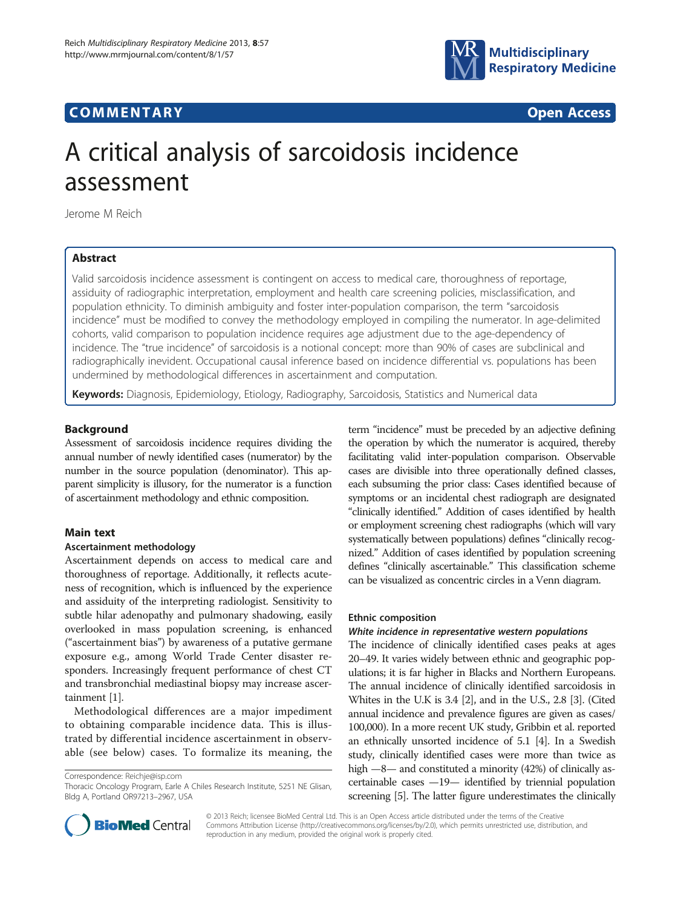# **COMMENTARY COMMENTARY Open Access**



# A critical analysis of sarcoidosis incidence assessment

Jerome M Reich

# Abstract

Valid sarcoidosis incidence assessment is contingent on access to medical care, thoroughness of reportage, assiduity of radiographic interpretation, employment and health care screening policies, misclassification, and population ethnicity. To diminish ambiguity and foster inter-population comparison, the term "sarcoidosis incidence" must be modified to convey the methodology employed in compiling the numerator. In age-delimited cohorts, valid comparison to population incidence requires age adjustment due to the age-dependency of incidence. The "true incidence" of sarcoidosis is a notional concept: more than 90% of cases are subclinical and radiographically inevident. Occupational causal inference based on incidence differential vs. populations has been undermined by methodological differences in ascertainment and computation.

Keywords: Diagnosis, Epidemiology, Etiology, Radiography, Sarcoidosis, Statistics and Numerical data

#### Background

Assessment of sarcoidosis incidence requires dividing the annual number of newly identified cases (numerator) by the number in the source population (denominator). This apparent simplicity is illusory, for the numerator is a function of ascertainment methodology and ethnic composition.

## Main text

# Ascertainment methodology

Ascertainment depends on access to medical care and thoroughness of reportage. Additionally, it reflects acuteness of recognition, which is influenced by the experience and assiduity of the interpreting radiologist. Sensitivity to subtle hilar adenopathy and pulmonary shadowing, easily overlooked in mass population screening, is enhanced ("ascertainment bias") by awareness of a putative germane exposure e.g., among World Trade Center disaster responders. Increasingly frequent performance of chest CT and transbronchial mediastinal biopsy may increase ascertainment [\[1](#page-2-0)].

Methodological differences are a major impediment to obtaining comparable incidence data. This is illustrated by differential incidence ascertainment in observable (see below) cases. To formalize its meaning, the

Correspondence: [Reichje@isp.com](mailto:Reichje@isp.com)

term "incidence" must be preceded by an adjective defining the operation by which the numerator is acquired, thereby facilitating valid inter-population comparison. Observable cases are divisible into three operationally defined classes, each subsuming the prior class: Cases identified because of symptoms or an incidental chest radiograph are designated "clinically identified." Addition of cases identified by health or employment screening chest radiographs (which will vary systematically between populations) defines "clinically recognized." Addition of cases identified by population screening defines "clinically ascertainable." This classification scheme can be visualized as concentric circles in a Venn diagram.

#### Ethnic composition

#### White incidence in representative western populations

The incidence of clinically identified cases peaks at ages 20–49. It varies widely between ethnic and geographic populations; it is far higher in Blacks and Northern Europeans. The annual incidence of clinically identified sarcoidosis in Whites in the U.K is 3.4 [[2\]](#page-2-0), and in the U.S., 2.8 [[3](#page-2-0)]. (Cited annual incidence and prevalence figures are given as cases/ 100,000). In a more recent UK study, Gribbin et al. reported an ethnically unsorted incidence of 5.1 [\[4](#page-2-0)]. In a Swedish study, clinically identified cases were more than twice as high  $-8$ — and constituted a minority (42%) of clinically ascertainable cases —19— identified by triennial population screening [[5](#page-2-0)]. The latter figure underestimates the clinically



© 2013 Reich; licensee BioMed Central Ltd. This is an Open Access article distributed under the terms of the Creative Commons Attribution License [\(http://creativecommons.org/licenses/by/2.0\)](http://creativecommons.org/licenses/by/2.0), which permits unrestricted use, distribution, and reproduction in any medium, provided the original work is properly cited.

Thoracic Oncology Program, Earle A Chiles Research Institute, 5251 NE Glisan, Bldg A, Portland OR97213–2967, USA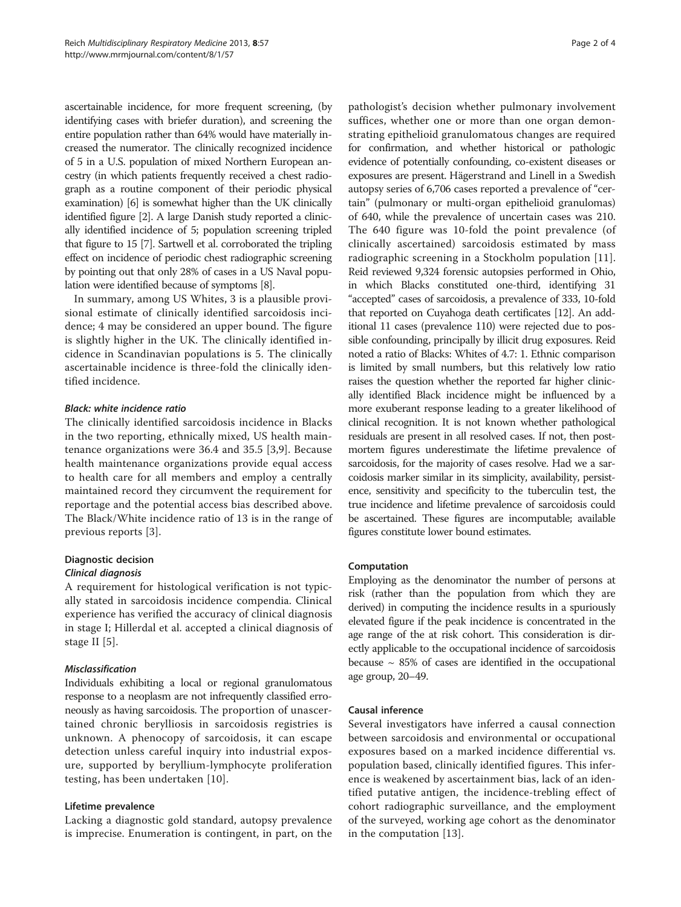ascertainable incidence, for more frequent screening, (by identifying cases with briefer duration), and screening the entire population rather than 64% would have materially increased the numerator. The clinically recognized incidence of 5 in a U.S. population of mixed Northern European ancestry (in which patients frequently received a chest radiograph as a routine component of their periodic physical examination) [\[6\]](#page-2-0) is somewhat higher than the UK clinically identified figure [\[2\]](#page-2-0). A large Danish study reported a clinically identified incidence of 5; population screening tripled that figure to 15 [\[7\]](#page-2-0). Sartwell et al. corroborated the tripling effect on incidence of periodic chest radiographic screening by pointing out that only 28% of cases in a US Naval population were identified because of symptoms [[8](#page-3-0)].

In summary, among US Whites, 3 is a plausible provisional estimate of clinically identified sarcoidosis incidence; 4 may be considered an upper bound. The figure is slightly higher in the UK. The clinically identified incidence in Scandinavian populations is 5. The clinically ascertainable incidence is three-fold the clinically identified incidence.

# Black: white incidence ratio

The clinically identified sarcoidosis incidence in Blacks in the two reporting, ethnically mixed, US health maintenance organizations were 36.4 and 35.5 [\[3](#page-2-0),[9\]](#page-3-0). Because health maintenance organizations provide equal access to health care for all members and employ a centrally maintained record they circumvent the requirement for reportage and the potential access bias described above. The Black/White incidence ratio of 13 is in the range of previous reports [[3\]](#page-2-0).

# Diagnostic decision

# Clinical diagnosis

A requirement for histological verification is not typically stated in sarcoidosis incidence compendia. Clinical experience has verified the accuracy of clinical diagnosis in stage I; Hillerdal et al. accepted a clinical diagnosis of stage II [[5\]](#page-2-0).

#### Misclassification

Individuals exhibiting a local or regional granulomatous response to a neoplasm are not infrequently classified erroneously as having sarcoidosis. The proportion of unascertained chronic berylliosis in sarcoidosis registries is unknown. A phenocopy of sarcoidosis, it can escape detection unless careful inquiry into industrial exposure, supported by beryllium-lymphocyte proliferation testing, has been undertaken [[10](#page-3-0)].

#### Lifetime prevalence

Lacking a diagnostic gold standard, autopsy prevalence is imprecise. Enumeration is contingent, in part, on the

pathologist's decision whether pulmonary involvement suffices, whether one or more than one organ demonstrating epithelioid granulomatous changes are required for confirmation, and whether historical or pathologic evidence of potentially confounding, co-existent diseases or exposures are present. Hägerstrand and Linell in a Swedish autopsy series of 6,706 cases reported a prevalence of "certain" (pulmonary or multi-organ epithelioid granulomas) of 640, while the prevalence of uncertain cases was 210. The 640 figure was 10-fold the point prevalence (of clinically ascertained) sarcoidosis estimated by mass radiographic screening in a Stockholm population [[11](#page-3-0)]. Reid reviewed 9,324 forensic autopsies performed in Ohio, in which Blacks constituted one-third, identifying 31 "accepted" cases of sarcoidosis, a prevalence of 333, 10-fold that reported on Cuyahoga death certificates [\[12](#page-3-0)]. An additional 11 cases (prevalence 110) were rejected due to possible confounding, principally by illicit drug exposures. Reid noted a ratio of Blacks: Whites of 4.7: 1. Ethnic comparison is limited by small numbers, but this relatively low ratio raises the question whether the reported far higher clinically identified Black incidence might be influenced by a more exuberant response leading to a greater likelihood of clinical recognition. It is not known whether pathological residuals are present in all resolved cases. If not, then postmortem figures underestimate the lifetime prevalence of sarcoidosis, for the majority of cases resolve. Had we a sarcoidosis marker similar in its simplicity, availability, persistence, sensitivity and specificity to the tuberculin test, the true incidence and lifetime prevalence of sarcoidosis could be ascertained. These figures are incomputable; available figures constitute lower bound estimates.

#### Computation

Employing as the denominator the number of persons at risk (rather than the population from which they are derived) in computing the incidence results in a spuriously elevated figure if the peak incidence is concentrated in the age range of the at risk cohort. This consideration is directly applicable to the occupational incidence of sarcoidosis because  $\sim$  85% of cases are identified in the occupational age group, 20–49.

#### Causal inference

Several investigators have inferred a causal connection between sarcoidosis and environmental or occupational exposures based on a marked incidence differential vs. population based, clinically identified figures. This inference is weakened by ascertainment bias, lack of an identified putative antigen, the incidence-trebling effect of cohort radiographic surveillance, and the employment of the surveyed, working age cohort as the denominator in the computation [\[13](#page-3-0)].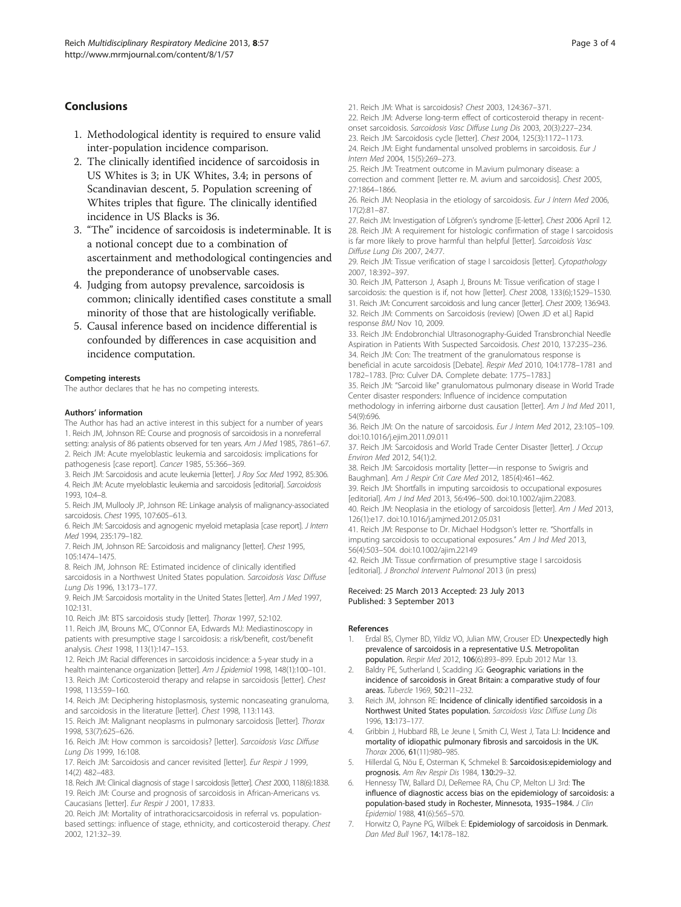# <span id="page-2-0"></span>Conclusions

- 1. Methodological identity is required to ensure valid inter-population incidence comparison.
- 2. The clinically identified incidence of sarcoidosis in US Whites is 3; in UK Whites, 3.4; in persons of Scandinavian descent, 5. Population screening of Whites triples that figure. The clinically identified incidence in US Blacks is 36.
- 3. "The" incidence of sarcoidosis is indeterminable. It is a notional concept due to a combination of ascertainment and methodological contingencies and the preponderance of unobservable cases.
- 4. Judging from autopsy prevalence, sarcoidosis is common; clinically identified cases constitute a small minority of those that are histologically verifiable.
- 5. Causal inference based on incidence differential is confounded by differences in case acquisition and incidence computation.

#### Competing interests

The author declares that he has no competing interests.

#### Authors' information

The Author has had an active interest in this subject for a number of years 1. Reich JM, Johnson RE: Course and prognosis of sarcoidosis in a nonreferral setting: analysis of 86 patients observed for ten years. Am J Med 1985, 78:61-67. 2. Reich JM: Acute myeloblastic leukemia and sarcoidosis: implications for

pathogenesis [case report]. Cancer 1985, 55:366–369.

3. Reich JM: Sarcoidosis and acute leukemia [letter]. J Roy Soc Med 1992, 85:306. 4. Reich JM: Acute myeloblastic leukemia and sarcoidosis [editorial]. Sarcoidosis 1993, 10:4–8.

5. Reich JM, Mullooly JP, Johnson RE: Linkage analysis of malignancy-associated sarcoidosis. Chest 1995, 107:605–613.

6. Reich JM: Sarcoidosis and agnogenic myeloid metaplasia [case report]. J Intern Med 1994, 235:179–182.

7. Reich JM, Johnson RE: Sarcoidosis and malignancy [letter]. Chest 1995, 105:1474–1475.

8. Reich JM, Johnson RE: Estimated incidence of clinically identified

sarcoidosis in a Northwest United States population. Sarcoidosis Vasc Diffuse Lung Dis 1996, 13:173–177.

9. Reich JM: Sarcoidosis mortality in the United States [letter]. Am J Med 1997, 102:131.

10. Reich JM: BTS sarcoidosis study [letter]. Thorax 1997, 52:102.

11. Reich JM, Brouns MC, O'Connor EA, Edwards MJ: Mediastinoscopy in patients with presumptive stage I sarcoidosis: a risk/benefit, cost/benefit analysis. Chest 1998, 113(1):147–153.

12. Reich JM: Racial differences in sarcoidosis incidence: a 5-year study in a health maintenance organization [letter]. Am J Epidemiol 1998, 148(1):100-101. 13. Reich JM: Corticosteroid therapy and relapse in sarcoidosis [letter]. Chest 1998, 113:559–160.

14. Reich JM: Deciphering histoplasmosis, systemic noncaseating granuloma, and sarcoidosis in the literature [letter]. Chest 1998, 113:1143.

15. Reich JM: Malignant neoplasms in pulmonary sarcoidosis [letter]. Thorax 1998, 53(7):625–626.

16. Reich JM: How common is sarcoidosis? [letter]. Sarcoidosis Vasc Diffuse Lung Dis 1999, 16:108.

17. Reich JM: Sarcoidosis and cancer revisited [letter]. Eur Respir J 1999, 14(2) 482–483.

18. Reich JM: Clinical diagnosis of stage I sarcoidosis [letter]. Chest 2000, 118(6):1838. 19. Reich JM: Course and prognosis of sarcoidosis in African-Americans vs. Caucasians [letter]. Eur Respir J 2001, 17:833.

20. Reich JM: Mortality of intrathoracicsarcoidosis in referral vs. populationbased settings: influence of stage, ethnicity, and corticosteroid therapy. Chest 2002, 121:32–39.

21. Reich JM: What is sarcoidosis? Chest 2003, 124:367–371.

22. Reich JM: Adverse long-term effect of corticosteroid therapy in recentonset sarcoidosis. Sarcoidosis Vasc Diffuse Lung Dis 2003, 20(3):227–234.

23. Reich JM: Sarcoidosis cycle [letter]. Chest 2004, 125(3):1172–1173.

24. Reich JM: Eight fundamental unsolved problems in sarcoidosis. Eur J Intern Med 2004, 15(5):269–273.

25. Reich JM: Treatment outcome in M.avium pulmonary disease: a correction and comment [letter re. M. avium and sarcoidosis]. Chest 2005, 27:1864–1866.

26. Reich JM: Neoplasia in the etiology of sarcoidosis. Eur J Intern Med 2006, 17(2):81–87.

27. Reich JM: Investigation of Löfgren's syndrome [E-letter]. Chest 2006 April 12. 28. Reich JM: A requirement for histologic confirmation of stage I sarcoidosis is far more likely to prove harmful than helpful [letter]. Sarcoidosis Vasc Diffuse Lung Dis 2007, 24:77.

29. Reich JM: Tissue verification of stage I sarcoidosis [letter]. Cytopathology 2007, 18:392–397.

30. Reich JM, Patterson J, Asaph J, Brouns M: Tissue verification of stage I sarcoidosis: the question is if, not how [letter]. Chest 2008, 133(6);1529–1530. 31. Reich JM: Concurrent sarcoidosis and lung cancer [letter]. Chest 2009; 136:943. 32. Reich JM: Comments on Sarcoidosis (review) [Owen JD et al.] Rapid response BMJ Nov 10, 2009.

33. Reich JM: Endobronchial Ultrasonography-Guided Transbronchial Needle Aspiration in Patients With Suspected Sarcoidosis. Chest 2010, 137:235–236. 34. Reich JM: Con: The treatment of the granulomatous response is

beneficial in acute sarcoidosis [Debate]. Respir Med 2010, 104:1778–1781 and 1782–1783. [Pro: Culver DA. Complete debate: 1775–1783.]

35. Reich JM: "Sarcoid like" granulomatous pulmonary disease in World Trade Center disaster responders: Influence of incidence computation

methodology in inferring airborne dust causation [letter]. Am J Ind Med 2011, 54(9):696.

36. Reich JM: On the nature of sarcoidosis. Eur J Intern Med 2012, 23:105–109. doi:[10.1016/j.ejim.2011.09.011](http://dx.doi.org/10.1016/j.ejim.2011.09.011)

37. Reich JM: Sarcoidosis and World Trade Center Disaster [letter]. J Occup Environ Med 2012, 54(1):2.

38. Reich JM: Sarcoidosis mortality [letter—in response to Swigris and Baughman]. Am J Respir Crit Care Med 2012, 185(4):461–462.

39. Reich JM: Shortfalls in imputing sarcoidosis to occupational exposures [editorial]. Am J Ind Med 2013, 56:496–500. doi[:10.1002/ajim.22083.](http://dx.doi.org/10.1002/ajim.22083)

40. Reich JM: Neoplasia in the etiology of sarcoidosis [letter]. Am J Med 2013, 126(1):e17. doi[:10.1016/j.amjmed.2012.05.031](http://dx.doi.org/10.1016/j.amjmed.2012.05.031)

41. Reich JM: Response to Dr. Michael Hodgson's letter re. "Shortfalls in imputing sarcoidosis to occupational exposures." Am J Ind Med 2013, 56(4):503–504. doi[:10.1002/ajim.22149](http://dx.doi.org/10.1002/ajim.22149)

42. Reich JM: Tissue confirmation of presumptive stage I sarcoidosis [editorial]. J Bronchol Intervent Pulmonol 2013 (in press)

#### Received: 25 March 2013 Accepted: 23 July 2013 Published: 3 September 2013

#### References

- Erdal BS, Clymer BD, Yildiz VO, Julian MW, Crouser ED: Unexpectedly high prevalence of sarcoidosis in a representative U.S. Metropolitan population. Respir Med 2012, 106(6):893–899. Epub 2012 Mar 13.
- Baldry PE, Sutherland I, Scadding JG: Geographic variations in the incidence of sarcoidosis in Great Britain: a comparative study of four areas. Tubercle 1969, 50:211–232.
- 3. Reich JM, Johnson RE: Incidence of clinically identified sarcoidosis in a Northwest United States population. Sarcoidosis Vasc Diffuse Lung Dis 1996, 13:173–177.
- 4. Gribbin J, Hubbard RB, Le Jeune I, Smith CJ, West J, Tata LJ: Incidence and mortality of idiopathic pulmonary fibrosis and sarcoidosis in the UK. Thorax 2006, 61(11):980–985.
- 5. Hillerdal G, Nöu E, Osterman K, Schmekel B: Sarcoidosis:epidemiology and prognosis. Am Rev Respir Dis 1984, 130:29–32.
- 6. Hennessy TW, Ballard DJ, DeRemee RA, Chu CP, Melton LJ 3rd: The influence of diagnostic access bias on the epidemiology of sarcoidosis: a population-based study in Rochester, Minnesota, 1935-1984. J Clin Epidemiol 1988, 41(6):565–570.
- 7. Horwitz O, Payne PG, Wilbek E: Epidemiology of sarcoidosis in Denmark. Dan Med Bull 1967, 14:178–182.